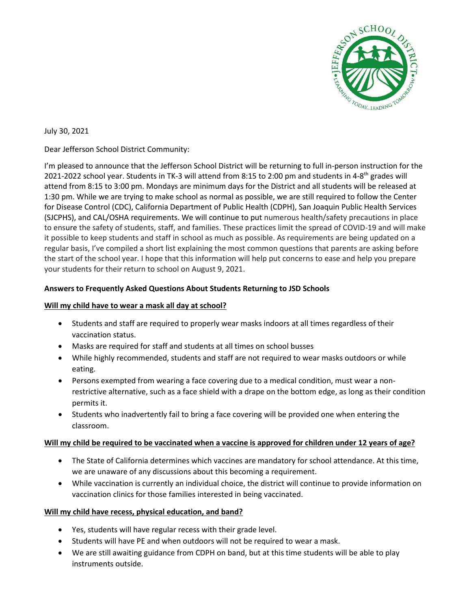

July 30, 2021

Dear Jefferson School District Community:

I'm pleased to announce that the Jefferson School District will be returning to full in-person instruction for the 2021-2022 school year. Students in TK-3 will attend from 8:15 to 2:00 pm and students in 4-8th grades will attend from 8:15 to 3:00 pm. Mondays are minimum days for the District and all students will be released at 1:30 pm. While we are trying to make school as normal as possible, we are still required to follow the Center for Disease Control (CDC), California Department of Public Health (CDPH), San Joaquin Public Health Services (SJCPHS), and CAL/OSHA requirements. We will continue to put numerous health/safety precautions in place to ensure the safety of students, staff, and families. These practices limit the spread of COVID-19 and will make it possible to keep students and staff in school as much as possible. As requirements are being updated on a regular basis, I've compiled a short list explaining the most common questions that parents are asking before the start of the school year. I hope that this information will help put concerns to ease and help you prepare your students for their return to school on August 9, 2021.

#### **Answers to Frequently Asked Questions About Students Returning to JSD Schools**

#### **Will my child have to wear a mask all day at school?**

- Students and staff are required to properly wear masks indoors at all times regardless of their vaccination status.
- Masks are required for staff and students at all times on school busses
- While highly recommended, students and staff are not required to wear masks outdoors or while eating.
- Persons exempted from wearing a face covering due to a medical condition, must wear a nonrestrictive alternative, such as a face shield with a drape on the bottom edge, as long as their condition permits it.
- Students who inadvertently fail to bring a face covering will be provided one when entering the classroom.

# **Will my child be required to be vaccinated when a vaccine is approved for children under 12 years of age?**

- The State of California determines which vaccines are mandatory for school attendance. At this time, we are unaware of any discussions about this becoming a requirement.
- While vaccination is currently an individual choice, the district will continue to provide information on vaccination clinics for those families interested in being vaccinated.

# **Will my child have recess, physical education, and band?**

- Yes, students will have regular recess with their grade level.
- Students will have PE and when outdoors will not be required to wear a mask.
- We are still awaiting guidance from CDPH on band, but at this time students will be able to play instruments outside.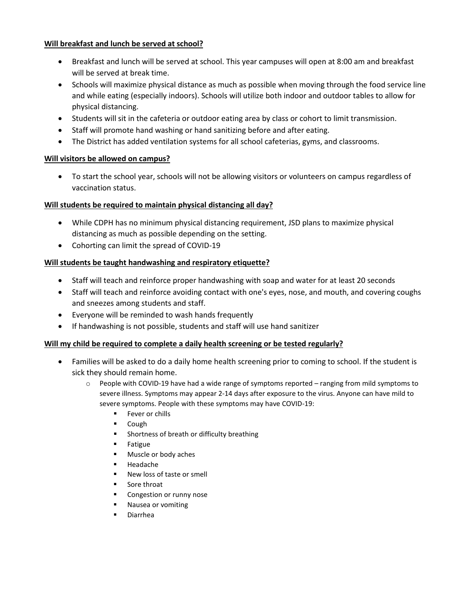#### **Will breakfast and lunch be served at school?**

- Breakfast and lunch will be served at school. This year campuses will open at 8:00 am and breakfast will be served at break time.
- Schools will maximize physical distance as much as possible when moving through the food service line and while eating (especially indoors). Schools will utilize both indoor and outdoor tables to allow for physical distancing.
- Students will sit in the cafeteria or outdoor eating area by class or cohort to limit transmission.
- Staff will promote hand washing or hand sanitizing before and after eating.
- The District has added ventilation systems for all school cafeterias, gyms, and classrooms.

# **Will visitors be allowed on campus?**

• To start the school year, schools will not be allowing visitors or volunteers on campus regardless of vaccination status.

# **Will students be required to maintain physical distancing all day?**

- While CDPH has no minimum physical distancing requirement, JSD plans to maximize physical distancing as much as possible depending on the setting.
- Cohorting can limit the spread of COVID-19

# **Will students be taught handwashing and respiratory etiquette?**

- Staff will teach and reinforce proper handwashing with soap and water for at least 20 seconds
- Staff will teach and reinforce avoiding contact with one's eyes, nose, and mouth, and covering coughs and sneezes among students and staff.
- Everyone will be reminded to wash hands frequently
- If handwashing is not possible, students and staff will use hand sanitizer

#### **Will my child be required to complete a daily health screening or be tested regularly?**

- Families will be asked to do a daily home health screening prior to coming to school. If the student is sick they should remain home.
	- $\circ$  People with COVID-19 have had a wide range of symptoms reported ranging from mild symptoms to severe illness. Symptoms may appear 2-14 days after exposure to the virus. Anyone can have mild to severe symptoms. People with these symptoms may have COVID-19:
		- **Fever or chills**
		- Cough
		- **EXECUTE:** Shortness of breath or difficulty breathing
		- **Fatigue**
		- **Muscle or body aches**
		- **Headache**
		- New loss of taste or smell
		- **Sore throat**
		- Congestion or runny nose
		- **Nausea or vomiting**
		- Diarrhea